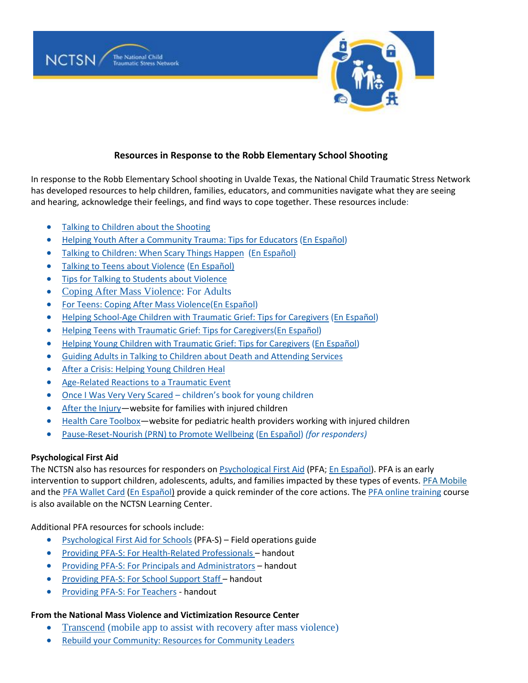

## **Resources in Response to the Robb Elementary School Shooting**

In response to the Robb Elementary School shooting in Uvalde Texas, the National Child Traumatic Stress Network has developed resources to help children, families, educators, and communities navigate what they are seeing and hearing, acknowledge their feelings, and find ways to cope together. These resources include:

- [Talking to Children about the Shooting](https://urldefense.com/v3/__https:/nam11.safelinks.protection.outlook.com/?url=https*3A*2F*2Furldefense.com*2Fv3*2F__https*3A*2Fnam11.safelinks.protection.outlook.com*2F*3Furl*3Dhttp*3A*2F*2Fwww.nctsn.org*2Fsites*2Fdefault*2Ffiles*2Fassets*2Fpdfs*2Ftalking_to_children_about_the_shooting.pdf*26data*3D04*7C01*7Cjames.henry*40wmich.edu*7C778118e4202c4e67efa608d9b44a0ee1*7C257622517aa94c72905f39bf026a8a84*7C0*7C0*7C637739052603849019*7CUnknown*7CTWFpbGZsb3d8eyJWIjoiMC4wLjAwMDAiLCJQIjoiV2luMzIiLCJBTiI6Ik1haWwiLCJXVCI6Mn0*3D*7C3000*26sdata*3Dyb*2B4M7JA2ncB2GgHEbB1sPFgspu5VPtUm6vBXs*2FVY2w*3D*26reserved*3D0__*3BJSUlJSUlJSUlJSUlJSUlJSUlJSUlJSUl!!F9wkZZsI-LA!S0ez0EkgYcoJQqCliLyWQGcPOIQilAz-QMZ3GihleehIPx3OI_orGZ1W6zQDQYB9ml1S*24&data=04*7C01*7Cjames.henry*40wmich.edu*7Cd211fee17b5e42b56c9708d9bc049985*7C257622517aa94c72905f39bf026a8a84*7C0*7C0*7C637747550359944141*7CUnknown*7CTWFpbGZsb3d8eyJWIjoiMC4wLjAwMDAiLCJQIjoiV2luMzIiLCJBTiI6Ik1haWwiLCJXVCI6Mn0*3D*7C3000&sdata=vVcC8wf14t2hxm6d*2BnDVmTR2oUodzsi4l5hnrIR2nOc*3D&reserved=0__;JSUlJSUlJSUlJSoqKioqKioqKiUlKioqKioqKioqKioqJSUqKiolJSUlJSUlJSUlJSUlJSUlJSU!!F9wkZZsI-LA!WLN-m7mcj34zxZ_vuGozR808BlN5tLgRjC4KShGKA5LpEZshoFC5ViPePI9l15vLreV4$)
- [Helping Youth After a Community Trauma: Tips](https://urldefense.com/v3/__https:/nam11.safelinks.protection.outlook.com/?url=https*3A*2F*2Furldefense.com*2Fv3*2F__https*3A*2Fnam11.safelinks.protection.outlook.com*2F*3Furl*3Dhttps*3A*2F*2Fwww.nctsn.org*2Fresources*2Fhelping-youth-after-community-trauma-tips-educators*26data*3D04*7C01*7Cjames.henry*40wmich.edu*7C778118e4202c4e67efa608d9b44a0ee1*7C257622517aa94c72905f39bf026a8a84*7C0*7C0*7C637739052603858978*7CUnknown*7CTWFpbGZsb3d8eyJWIjoiMC4wLjAwMDAiLCJQIjoiV2luMzIiLCJBTiI6Ik1haWwiLCJXVCI6Mn0*3D*7C3000*26sdata*3DmNcltU1dL1XaakucVA2*2BWj*2FiQiT5rfjld75ihNKTB14*3D*26reserved*3D0__*3BJSUlJSUlJSUlJSUlJSUlJSUlJSU!!F9wkZZsI-LA!S0ez0EkgYcoJQqCliLyWQGcPOIQilAz-QMZ3GihleehIPx3OI_orGZ1W6zQDQXBozk_E*24&data=04*7C01*7Cjames.henry*40wmich.edu*7Cd211fee17b5e42b56c9708d9bc049985*7C257622517aa94c72905f39bf026a8a84*7C0*7C0*7C637747550359944141*7CUnknown*7CTWFpbGZsb3d8eyJWIjoiMC4wLjAwMDAiLCJQIjoiV2luMzIiLCJBTiI6Ik1haWwiLCJXVCI6Mn0*3D*7C3000&sdata=2SZws6ZNQM49f5gLRYe30Xq7A6sDnTlWKdcHPwNivpo*3D&reserved=0__;JSUlJSUlJSUlJSoqKioqJSUqKioqKioqKioqKiolJSoqKiUlJSUlJSUlJSUlJSUlJSUl!!F9wkZZsI-LA!WLN-m7mcj34zxZ_vuGozR808BlN5tLgRjC4KShGKA5LpEZshoFC5ViPePI9l1we2zQhv$) for Educators [\(En Español\)](https://urldefense.com/v3/__https:/www.nctsn.org/resources/helping-youth-after-community-trauma-tips-educators-sp__;!!F9wkZZsI-LA!DAlPrNxHr5ZGkwWegKl6-VFYr8ArQtzGQbMq3RBN5kOqEHPW4NHk3DPGF-IN3UfXnxtOcLUQ0uL_ieKUbUdcEVOgK8Q$)
- [Talking to Children: When Scary Things Happen](https://urldefense.com/v3/__https:/drive.google.com/file/d/1Mc8dsD-AYBupNgXeI97BrVmKvoGWQrgw/view__;!!F9wkZZsI-LA!DAlPrNxHr5ZGkwWegKl6-VFYr8ArQtzGQbMq3RBN5kOqEHPW4NHk3DPGF-IN3UfXnxtOcLUQ0uL_ieKUbUdcsG7VbdE$) [\(En Español\)](https://urldefense.com/v3/__https:/drive.google.com/file/d/181pGktEIcnqxyRmQJuaBJ6d0Vjg5K-z6/view__;!!F9wkZZsI-LA!DAlPrNxHr5ZGkwWegKl6-VFYr8ArQtzGQbMq3RBN5kOqEHPW4NHk3DPGF-IN3UfXnxtOcLUQ0uL_ieKUbUdcSuN5X4Y$)
- [Talking to Teens about Violence](https://urldefense.com/v3/__https:/drive.google.com/file/d/1fnP6HTUyJO-sdRJ0bgYJ6V8UrSIWTjJv/view__;!!F9wkZZsI-LA!DAlPrNxHr5ZGkwWegKl6-VFYr8ArQtzGQbMq3RBN5kOqEHPW4NHk3DPGF-IN3UfXnxtOcLUQ0uL_ieKUbUdc_HZvc8c$) [\(En Español\)](https://urldefense.com/v3/__https:/ibsweb.colorado.edu/crw/wp-content/uploads/sites/7/2021/04/CRWS_Spanish_Talking-to-Teens_Violent-Events.pdf__;!!F9wkZZsI-LA!DAlPrNxHr5ZGkwWegKl6-VFYr8ArQtzGQbMq3RBN5kOqEHPW4NHk3DPGF-IN3UfXnxtOcLUQ0uL_ieKUbUdcXScPmZ8$)
- **[Tips for Talking to Students about Violence](https://urldefense.com/v3/__https:/drive.google.com/file/d/1DO7aqM23ad4Q5wWZyHR1ghFscQtWdALZ/view__;!!F9wkZZsI-LA!DAlPrNxHr5ZGkwWegKl6-VFYr8ArQtzGQbMq3RBN5kOqEHPW4NHk3DPGF-IN3UfXnxtOcLUQ0uL_ieKUbUdchLQXxaA$)**
- [Coping After Mass Violence:](https://urldefense.com/v3/__https:/nam12.safelinks.protection.outlook.com/?url=https*3A*2F*2Fwww.nctsn.org*2Fresources*2Fcoping-after-mass-violence&data=05*7C01*7Cmsommerville*40bestselfwny.org*7C9cc7b3a66ee1407b93cd08da384060f6*7C5fde4e13381544908af9179c523986a4*7C0*7C0*7C637884147173072305*7CUnknown*7CTWFpbGZsb3d8eyJWIjoiMC4wLjAwMDAiLCJQIjoiV2luMzIiLCJBTiI6Ik1haWwiLCJXVCI6Mn0*3D*7C3000*7C*7C*7C&sdata=TuXvdiCTQsw7noOO1y0m13M4xmu9K2pYNAnmRejFQaY*3D&reserved=0__;JSUlJSUlJSUlJSUlJSUlJSUlJSUl!!F9wkZZsI-LA!DvCYO2OfdJmlrFhVf6w3GdstfuUP-Cklkd8EVz5hJEkymxQ9x6lDGR76_lpaCGtN6slPBMX2a35VF5Toy6yGMQiqZUs4xbGPJQ$) For Adults
- [For Teens: Coping After Mass Violence](https://urldefense.com/v3/__https:/nam12.safelinks.protection.outlook.com/?url=https*3A*2F*2Fwww.nctsn.org*2Fsites*2Fdefault*2Ffiles*2Fresources*2Ffact-sheet*2Ffor_teens_coping_after_mass_violence.pdf&data=05*7C01*7Cmsommerville*40bestselfwny.org*7C9cc7b3a66ee1407b93cd08da384060f6*7C5fde4e13381544908af9179c523986a4*7C0*7C0*7C637884147173072305*7CUnknown*7CTWFpbGZsb3d8eyJWIjoiMC4wLjAwMDAiLCJQIjoiV2luMzIiLCJBTiI6Ik1haWwiLCJXVCI6Mn0*3D*7C3000*7C*7C*7C&sdata=gToiz4ZLD*2BiD*2FsLKbmX5N0jp5MRToKjSiqTU6o05utI*3D&reserved=0__;JSUlJSUlJSUlJSUlJSUlJSUlJSUlJSUlJSUl!!F9wkZZsI-LA!DvCYO2OfdJmlrFhVf6w3GdstfuUP-Cklkd8EVz5hJEkymxQ9x6lDGR76_lpaCGtN6slPBMX2a35VF5Toy6yGMQiqZUvy23uhjQ$)[\(En Español\)](https://urldefense.com/v3/__https:/nam12.safelinks.protection.outlook.com/?url=https*3A*2F*2Fwww.nctsn.org*2Fresources*2Ffor-teens-coping-after-mass-violence-sp&data=05*7C01*7Cmsommerville*40bestselfwny.org*7C9cc7b3a66ee1407b93cd08da384060f6*7C5fde4e13381544908af9179c523986a4*7C0*7C0*7C637884147173072305*7CUnknown*7CTWFpbGZsb3d8eyJWIjoiMC4wLjAwMDAiLCJQIjoiV2luMzIiLCJBTiI6Ik1haWwiLCJXVCI6Mn0*3D*7C3000*7C*7C*7C&sdata=sMS9wPkteyHjOSvAzs0p2pjBTX0UKNb04mP4vUPfP2g*3D&reserved=0__;JSUlJSUlJSUlJSUlJSUlJSUlJSUl!!F9wkZZsI-LA!DvCYO2OfdJmlrFhVf6w3GdstfuUP-Cklkd8EVz5hJEkymxQ9x6lDGR76_lpaCGtN6slPBMX2a35VF5Toy6yGMQiqZUugOTKsJw$)
- [Helping School-Age Children with Traumatic Grief: Tips for Caregivers](https://urldefense.com/v3/__https:/nam11.safelinks.protection.outlook.com/?url=https*3A*2F*2Furldefense.com*2Fv3*2F__https*3A*2Fnam11.safelinks.protection.outlook.com*2F*3Furl*3Dhttps*3A*2F*2Fwww.nctsn.org*2Fresources*2Fhelping-school-age-children-traumatic-grief-tips-caregivers*26data*3D04*7C01*7Cjames.henry*40wmich.edu*7C778118e4202c4e67efa608d9b44a0ee1*7C257622517aa94c72905f39bf026a8a84*7C0*7C0*7C637739052603868934*7CUnknown*7CTWFpbGZsb3d8eyJWIjoiMC4wLjAwMDAiLCJQIjoiV2luMzIiLCJBTiI6Ik1haWwiLCJXVCI6Mn0*3D*7C3000*26sdata*3Dfg3WJyHF5fNqJc9QGrBUXFxPqcvieTxPTynNbIe8NX8*3D*26reserved*3D0__*3BJSUlJSUlJSUlJSUlJSUlJSUl!!F9wkZZsI-LA!S0ez0EkgYcoJQqCliLyWQGcPOIQilAz-QMZ3GihleehIPx3OI_orGZ1W6zQDQdED9yiS*24&data=04*7C01*7Cjames.henry*40wmich.edu*7Cd211fee17b5e42b56c9708d9bc049985*7C257622517aa94c72905f39bf026a8a84*7C0*7C0*7C637747550359944141*7CUnknown*7CTWFpbGZsb3d8eyJWIjoiMC4wLjAwMDAiLCJQIjoiV2luMzIiLCJBTiI6Ik1haWwiLCJXVCI6Mn0*3D*7C3000&sdata=HW2f3xvaPdZTnj*2BFrGwd9ppIIRwSxFWa2R5UGiduMdA*3D&reserved=0__;JSUlJSUlJSUlJSoqKioqJSUqKioqKioqKioqKiolJSolJSUlJSUlJSUlJSUlJSUlJSU!!F9wkZZsI-LA!WLN-m7mcj34zxZ_vuGozR808BlN5tLgRjC4KShGKA5LpEZshoFC5ViPePI9l1xz66sbk$) [\(En Español\)](https://urldefense.com/v3/__https:/www.nctsn.org/resources/helping-school-age-children-traumatic-grief-tips-caregivers-sp__;!!F9wkZZsI-LA!DAlPrNxHr5ZGkwWegKl6-VFYr8ArQtzGQbMq3RBN5kOqEHPW4NHk3DPGF-IN3UfXnxtOcLUQ0uL_ieKUbUdcgviTBs4$)
- [Helping Teens with Traumatic Grief: Tips for Caregivers\(](https://urldefense.com/v3/__https:/nam11.safelinks.protection.outlook.com/?url=https*3A*2F*2Furldefense.com*2Fv3*2F__https*3A*2Fnam11.safelinks.protection.outlook.com*2F*3Furl*3Dhttps*3A*2F*2Fwww.nctsn.org*2Fresources*2Fhelping-teens-traumatic-grief-tips-caregivers*26data*3D04*7C01*7Cjames.henry*40wmich.edu*7C778118e4202c4e67efa608d9b44a0ee1*7C257622517aa94c72905f39bf026a8a84*7C0*7C0*7C637739052603858978*7CUnknown*7CTWFpbGZsb3d8eyJWIjoiMC4wLjAwMDAiLCJQIjoiV2luMzIiLCJBTiI6Ik1haWwiLCJXVCI6Mn0*3D*7C3000*26sdata*3DFolYCzlhYQScOaNc3TL4ETkm9KZ7YiukUDm9*2F*2FwFxms*3D*26reserved*3D0__*3BJSUlJSUlJSUlJSUlJSUlJSUlJSU!!F9wkZZsI-LA!S0ez0EkgYcoJQqCliLyWQGcPOIQilAz-QMZ3GihleehIPx3OI_orGZ1W6zQDQTb9_diS*24&data=04*7C01*7Cjames.henry*40wmich.edu*7Cd211fee17b5e42b56c9708d9bc049985*7C257622517aa94c72905f39bf026a8a84*7C0*7C0*7C637747550359944141*7CUnknown*7CTWFpbGZsb3d8eyJWIjoiMC4wLjAwMDAiLCJQIjoiV2luMzIiLCJBTiI6Ik1haWwiLCJXVCI6Mn0*3D*7C3000&sdata=SSEhfmZ6QqA3sKJsndMK*2Bd2dvt1vZu3llSK*2BMAxplL4*3D&reserved=0__;JSUlJSUlJSUlJSoqKioqJSUqKioqKioqKioqKiolJSoqKiUlJSUlJSUlJSUlJSUlJSUlJSU!!F9wkZZsI-LA!WLN-m7mcj34zxZ_vuGozR808BlN5tLgRjC4KShGKA5LpEZshoFC5ViPePI9l12YbIfJJ$)[En Español\)](https://urldefense.com/v3/__https:/www.nctsn.org/sites/default/files/resources/tip-sheet/helping-teens-with-traumatic-grief-for-caregivers-sp.pdf__;!!F9wkZZsI-LA!DAlPrNxHr5ZGkwWegKl6-VFYr8ArQtzGQbMq3RBN5kOqEHPW4NHk3DPGF-IN3UfXnxtOcLUQ0uL_ieKUbUdcVn0Jqm4$)
- [Helping Young Children with Traumatic Grief: Tips for Caregivers](https://urldefense.com/v3/__https:/nam11.safelinks.protection.outlook.com/?url=https*3A*2F*2Furldefense.com*2Fv3*2F__https*3A*2Fnam11.safelinks.protection.outlook.com*2F*3Furl*3Dhttps*3A*2F*2Fwww.nctsn.org*2Fresources*2Fhelping-young-children-traumatic-grief-tips-caregivers*26data*3D04*7C01*7Cjames.henry*40wmich.edu*7C778118e4202c4e67efa608d9b44a0ee1*7C257622517aa94c72905f39bf026a8a84*7C0*7C0*7C637739052603868934*7CUnknown*7CTWFpbGZsb3d8eyJWIjoiMC4wLjAwMDAiLCJQIjoiV2luMzIiLCJBTiI6Ik1haWwiLCJXVCI6Mn0*3D*7C3000*26sdata*3Dw0elNUIRxgQ6jnZcmTB9hMxipKDxQ9UV4DPaa0fwWxw*3D*26reserved*3D0__*3BJSUlJSUlJSUlJSUlJSUlJSUl!!F9wkZZsI-LA!S0ez0EkgYcoJQqCliLyWQGcPOIQilAz-QMZ3GihleehIPx3OI_orGZ1W6zQDQaSVV8lj*24&data=04*7C01*7Cjames.henry*40wmich.edu*7Cd211fee17b5e42b56c9708d9bc049985*7C257622517aa94c72905f39bf026a8a84*7C0*7C0*7C637747550359944141*7CUnknown*7CTWFpbGZsb3d8eyJWIjoiMC4wLjAwMDAiLCJQIjoiV2luMzIiLCJBTiI6Ik1haWwiLCJXVCI6Mn0*3D*7C3000&sdata=M97KpznXEkhD6wJYOEqelNXJp2*2BIqX6u4C*2FlaePgmPk*3D&reserved=0__;JSUlJSUlJSUlJSoqKioqJSUqKioqKioqKioqKiolJSolJSUlJSUlJSUlJSUlJSUlJSUl!!F9wkZZsI-LA!WLN-m7mcj34zxZ_vuGozR808BlN5tLgRjC4KShGKA5LpEZshoFC5ViPePI9l18b6ChQl$) [\(En Español\)](https://urldefense.com/v3/__https:/www.nctsn.org/resources/helping-young-children-traumatic-grief-tips-caregivers-sp__;!!F9wkZZsI-LA!DAlPrNxHr5ZGkwWegKl6-VFYr8ArQtzGQbMq3RBN5kOqEHPW4NHk3DPGF-IN3UfXnxtOcLUQ0uL_ieKUbUdcbeJKvQ4$)
- [Guiding Adults in Talking to Children about Death and Attending Services](https://urldefense.com/v3/__https:/www.nctsn.org/resources/guiding-adults-talking-children-about-death-and-attending-services__;!!F9wkZZsI-LA!DAlPrNxHr5ZGkwWegKl6-VFYr8ArQtzGQbMq3RBN5kOqEHPW4NHk3DPGF-IN3UfXnxtOcLUQ0uL_ieKUbUdcOhRXvQw$)
- [After a Crisis: Helping Young Children Heal](https://urldefense.com/v3/__https:/www.nctsn.org/resources/after-crisis-helping-young-children-heal__;!!F9wkZZsI-LA!DAlPrNxHr5ZGkwWegKl6-VFYr8ArQtzGQbMq3RBN5kOqEHPW4NHk3DPGF-IN3UfXnxtOcLUQ0uL_ieKUbUdcfSqD_LE$)
- [Age-Related Reactions to a Traumatic Event](https://urldefense.com/v3/__https:/www.nctsn.org/resources/age-related-reactions-traumatic-event__;!!F9wkZZsI-LA!DAlPrNxHr5ZGkwWegKl6-VFYr8ArQtzGQbMq3RBN5kOqEHPW4NHk3DPGF-IN3UfXnxtOcLUQ0uL_ieKUbUdcT3N3ljA$)
- [Once I Was Very Very Scared](https://urldefense.com/v3/__https:/piploproductions.com/stories/once/__;!!F9wkZZsI-LA!DAlPrNxHr5ZGkwWegKl6-VFYr8ArQtzGQbMq3RBN5kOqEHPW4NHk3DPGF-IN3UfXnxtOcLUQ0uL_ieKUbUdcBOgEWL0$) children's book for young children
- [After the Injury](https://urldefense.com/v3/__https:/nam11.safelinks.protection.outlook.com/?url=https*3A*2F*2Furldefense.com*2Fv3*2F__https*3A*2Fnam11.safelinks.protection.outlook.com*2F*3Furl*3Dhttps*3A*2F*2Furldefense.proofpoint.com*2Fv2*2Furl*3Fu*3Dhttps-3A__www.aftertheinjury.org_*26d*3DDwMFAg*26c*3DUXmaowRpu5bLSLEQRunJ2z-YIUZuUoa9Rw_x449Hd_Y*26r*3DhzomOGg2G27ZjuZegYWWfu4EgrpiGCT_JunBM07Lj7Q*26m*3DvyKoXFUQ-CzUQsUEsU_VwEifMStVNuB6XZZtDuIDrTY*26s*3DOxewveOLl5qhWnb0E6kxhePnmq9kv3YDkXSNS7AIfDU*26e*3D*26data*3D04*7C01*7Cjames.henry*40wmich.edu*7C778118e4202c4e67efa608d9b44a0ee1*7C257622517aa94c72905f39bf026a8a84*7C0*7C0*7C637739052603878891*7CUnknown*7CTWFpbGZsb3d8eyJWIjoiMC4wLjAwMDAiLCJQIjoiV2luMzIiLCJBTiI6Ik1haWwiLCJXVCI6Mn0*3D*7C3000*26sdata*3Dk7Oc1SjtH8MpjiYYO0XX7hQ8OWJsqoJI23uaKig0BGA*3D*26reserved*3D0__*3BJSUlJSUlJSUlJSUlJSUlJSUlJSUlJSUlJSUlJSUlJSU!!F9wkZZsI-LA!S0ez0EkgYcoJQqCliLyWQGcPOIQilAz-QMZ3GihleehIPx3OI_orGZ1W6zQDQZCqRGua*24&data=04*7C01*7Cjames.henry*40wmich.edu*7Cd211fee17b5e42b56c9708d9bc049985*7C257622517aa94c72905f39bf026a8a84*7C0*7C0*7C637747550359944141*7CUnknown*7CTWFpbGZsb3d8eyJWIjoiMC4wLjAwMDAiLCJQIjoiV2luMzIiLCJBTiI6Ik1haWwiLCJXVCI6Mn0*3D*7C3000&sdata=keA0XubrL0Gx8YvMHuFK*2B6YBjkVZQ6K7MOgmRZIXfAA*3D&reserved=0__;JSUlJSUlJSUlJSoqKioqKioqKioqKioqKioqKiolJSoqKioqKioqKioqKiUlKiUlJSUlJSUlJSUlJSUlJSUlJQ!!F9wkZZsI-LA!WLN-m7mcj34zxZ_vuGozR808BlN5tLgRjC4KShGKA5LpEZshoFC5ViPePI9l188KlwQW$)-website for families with injured children
- [Health Care Toolbox](https://urldefense.com/v3/__https:/nam11.safelinks.protection.outlook.com/?url=https*3A*2F*2Furldefense.com*2Fv3*2F__https*3A*2Fnam11.safelinks.protection.outlook.com*2F*3Furl*3Dhttps*3A*2F*2Furldefense.proofpoint.com*2Fv2*2Furl*3Fu*3Dhttps-3A__www.healthcaretoolbox.org_*26d*3DDwMFAg*26c*3DUXmaowRpu5bLSLEQRunJ2z-YIUZuUoa9Rw_x449Hd_Y*26r*3DhzomOGg2G27ZjuZegYWWfu4EgrpiGCT_JunBM07Lj7Q*26m*3DvyKoXFUQ-CzUQsUEsU_VwEifMStVNuB6XZZtDuIDrTY*26s*3DTo4qpM_pSNMYr-2Wu8Yq6yEKrS7FOZCM4Pxiq5SgFuM*26e*3D*26data*3D04*7C01*7Cjames.henry*40wmich.edu*7C778118e4202c4e67efa608d9b44a0ee1*7C257622517aa94c72905f39bf026a8a84*7C0*7C0*7C637739052603888848*7CUnknown*7CTWFpbGZsb3d8eyJWIjoiMC4wLjAwMDAiLCJQIjoiV2luMzIiLCJBTiI6Ik1haWwiLCJXVCI6Mn0*3D*7C3000*26sdata*3DcrKZkT*2F9xlBsfqipiaAAAT6h6ETKg8LZGnngZQtQWck*3D*26reserved*3D0__*3BJSUlJSUlJSUlJSUlJSUlJSUlJSUlJSUlJSUlJSUlJSUl!!F9wkZZsI-LA!S0ez0EkgYcoJQqCliLyWQGcPOIQilAz-QMZ3GihleehIPx3OI_orGZ1W6zQDQVeOEJCl*24&data=04*7C01*7Cjames.henry*40wmich.edu*7Cd211fee17b5e42b56c9708d9bc049985*7C257622517aa94c72905f39bf026a8a84*7C0*7C0*7C637747550359944141*7CUnknown*7CTWFpbGZsb3d8eyJWIjoiMC4wLjAwMDAiLCJQIjoiV2luMzIiLCJBTiI6Ik1haWwiLCJXVCI6Mn0*3D*7C3000&sdata=wAETX0H4b3mVzpMM5Dl109Y5j8CFpVNKG*2FKPGl2Yqtw*3D&reserved=0__;JSUlJSUlJSUlJSoqKioqKioqKioqKioqKioqKiolJSoqKioqKioqKioqKiUlKiolJSUlJSUlJSUlJSUlJSUlJSU!!F9wkZZsI-LA!WLN-m7mcj34zxZ_vuGozR808BlN5tLgRjC4KShGKA5LpEZshoFC5ViPePI9l13B9jNuo$)—website for pediatric health providers working with injured children
- [Pause-Reset-Nourish \(PRN\) to Promote Wellbeing](https://urldefense.com/v3/__https:/www.nctsn.org/resources/pause-reset-nourish-to-promote-wellbeing-use-as-needed-to-care-for-your-wellness__;!!F9wkZZsI-LA!DAlPrNxHr5ZGkwWegKl6-VFYr8ArQtzGQbMq3RBN5kOqEHPW4NHk3DPGF-IN3UfXnxtOcLUQ0uL_ieKUbUdc7vOFigU$) [\(En Español\)](https://urldefense.com/v3/__https:/www.nctsn.org/resources/prn-to-promote-wellbeing-as-needed-to-care-for-your-wellness-sp__;!!F9wkZZsI-LA!DAlPrNxHr5ZGkwWegKl6-VFYr8ArQtzGQbMq3RBN5kOqEHPW4NHk3DPGF-IN3UfXnxtOcLUQ0uL_ieKUbUdcWvjm4Zg$) *(for responders)*

## **Psychological First Aid**

The NCTSN also has resources for responders o[n Psychological First Aid](https://urldefense.com/v3/__https:/www.nctsn.org/resources/psychological-first-aid-pfa-field-operations-guide-2nd-edition__;!!F9wkZZsI-LA!SIUd2q2njiJ43vJbtUGCEzLFZoCI14Jsv1upSAIdkNbS-wUig4YMKjsW27WviG5a6caP$) (PFA; En [Español\)](https://urldefense.com/v3/__https:/www.nctsn.org/resources/primeros-auxilios-psicologicos-guia-de-operaciones-practicas-2da-edicion__;!!F9wkZZsI-LA!SIUd2q2njiJ43vJbtUGCEzLFZoCI14Jsv1upSAIdkNbS-wUig4YMKjsW27WviGtpkaxs$). PFA is an early intervention to support children, adolescents, adults, and families impacted by these types of events. [PFA Mobile](https://urldefense.com/v3/__https:/www.nctsn.org/resources/pfa-mobile__;!!F9wkZZsI-LA!DAlPrNxHr5ZGkwWegKl6-VFYr8ArQtzGQbMq3RBN5kOqEHPW4NHk3DPGF-IN3UfXnxtOcLUQ0uL_ieKUbUdciDg1cI8$) and th[e PFA Wallet Card](https://urldefense.com/v3/__https:/www.nctsn.org/resources/psychological-first-aid-pfa-wallet-card__;!!F9wkZZsI-LA!SIUd2q2njiJ43vJbtUGCEzLFZoCI14Jsv1upSAIdkNbS-wUig4YMKjsW27WviLYN40Vn$) [\(En Español\)](https://urldefense.com/v3/__https:/www.nctsn.org/resources/psychological-first-aid-pfa-wallet-card-sp__;!!F9wkZZsI-LA!SIUd2q2njiJ43vJbtUGCEzLFZoCI14Jsv1upSAIdkNbS-wUig4YMKjsW27WviHEcE2bq$) provide a quick reminder of the core actions. The [PFA online training](https://urldefense.com/v3/__https:/www.nctsn.org/resources/psychological-first-aid-pfa-online__;!!F9wkZZsI-LA!DAlPrNxHr5ZGkwWegKl6-VFYr8ArQtzGQbMq3RBN5kOqEHPW4NHk3DPGF-IN3UfXnxtOcLUQ0uL_ieKUbUdc-H6MYOg$) course is also available on the NCTSN Learning Center.

Additional PFA resources for schools include:

- [Psychological](https://urldefense.com/v3/__https:/nam11.safelinks.protection.outlook.com/?url=https*3A*2F*2Furldefense.com*2Fv3*2F__https*3A*2Fnam11.safelinks.protection.outlook.com*2F*3Furl*3Dhttp*3A*2F*2Fwww.nctsn.org*2Fcontent*2Fpsychological-first-aid-schoolspfa*26data*3D04*7C01*7Cjames.henry*40wmich.edu*7C778118e4202c4e67efa608d9b44a0ee1*7C257622517aa94c72905f39bf026a8a84*7C0*7C0*7C637739052603908760*7CUnknown*7CTWFpbGZsb3d8eyJWIjoiMC4wLjAwMDAiLCJQIjoiV2luMzIiLCJBTiI6Ik1haWwiLCJXVCI6Mn0*3D*7C3000*26sdata*3DqzPtH8U74mBqWBNCU*2BHXsqi6zCw2lmBfuCJXIpVEwSQ*3D*26reserved*3D0__*3BJSUlJSUlJSUlJSUlJSUlJSUlJQ!!F9wkZZsI-LA!S0ez0EkgYcoJQqCliLyWQGcPOIQilAz-QMZ3GihleehIPx3OI_orGZ1W6zQDQfNqRFKn*24&data=04*7C01*7Cjames.henry*40wmich.edu*7Cd211fee17b5e42b56c9708d9bc049985*7C257622517aa94c72905f39bf026a8a84*7C0*7C0*7C637747550359944141*7CUnknown*7CTWFpbGZsb3d8eyJWIjoiMC4wLjAwMDAiLCJQIjoiV2luMzIiLCJBTiI6Ik1haWwiLCJXVCI6Mn0*3D*7C3000&sdata=ZJnW1S0ziBkDC68GBYD3bmwZSLasrauLiV7YbReCf0c*3D&reserved=0__;JSUlJSUlJSUlJSoqKioqJSUqKioqKioqKioqKiolJSoqJSUlJSUlJSUlJSUlJSUlJSU!!F9wkZZsI-LA!WLN-m7mcj34zxZ_vuGozR808BlN5tLgRjC4KShGKA5LpEZshoFC5ViPePI9l17IpUmQw$) First Aid for Schools (PFA-S) Field operations guide
- Providing PFA-S: For [Health-Related](https://urldefense.com/v3/__https:/nam11.safelinks.protection.outlook.com/?url=https*3A*2F*2Furldefense.com*2Fv3*2F__https*3A*2Fnam11.safelinks.protection.outlook.com*2F*3Furl*3Dhttps*3A*2F*2Fwww.nctsn.org*2Fresources*2Fproviding-psychological-first-aid-health-related-professionals*26data*3D04*7C01*7Cjames.henry*40wmich.edu*7C778118e4202c4e67efa608d9b44a0ee1*7C257622517aa94c72905f39bf026a8a84*7C0*7C0*7C637739052603908760*7CUnknown*7CTWFpbGZsb3d8eyJWIjoiMC4wLjAwMDAiLCJQIjoiV2luMzIiLCJBTiI6Ik1haWwiLCJXVCI6Mn0*3D*7C3000*26sdata*3DXb94mLfiTsjo*2BjWn9qT6w4HeP0XxZo1HHfDnZ5PJARg*3D*26reserved*3D0__*3BJSUlJSUlJSUlJSUlJSUlJSUlJQ!!F9wkZZsI-LA!S0ez0EkgYcoJQqCliLyWQGcPOIQilAz-QMZ3GihleehIPx3OI_orGZ1W6zQDQTKAt8_p*24&data=04*7C01*7Cjames.henry*40wmich.edu*7Cd211fee17b5e42b56c9708d9bc049985*7C257622517aa94c72905f39bf026a8a84*7C0*7C0*7C637747550359944141*7CUnknown*7CTWFpbGZsb3d8eyJWIjoiMC4wLjAwMDAiLCJQIjoiV2luMzIiLCJBTiI6Ik1haWwiLCJXVCI6Mn0*3D*7C3000&sdata=ErbDIAEleftoDIzwD67Z*2BcD6oIO3GRJWNgxEuf3nUqI*3D&reserved=0__;JSUlJSUlJSUlJSoqKioqJSUqKioqKioqKioqKiolJSoqJSUlJSUlJSUlJSUlJSUlJSUl!!F9wkZZsI-LA!WLN-m7mcj34zxZ_vuGozR808BlN5tLgRjC4KShGKA5LpEZshoFC5ViPePI9l15gXwu7N$) Professionals handout
- **•** Providing PFA-S: For Principals and [Administrators](https://urldefense.com/v3/__https:/nam11.safelinks.protection.outlook.com/?url=https*3A*2F*2Furldefense.com*2Fv3*2F__https*3A*2Fnam11.safelinks.protection.outlook.com*2F*3Furl*3Dhttps*3A*2F*2Fwww.nctsn.org*2Fresources*2Fproviding-psychological-first-aid-principals-and-administrators*26data*3D04*7C01*7Cjames.henry*40wmich.edu*7C778118e4202c4e67efa608d9b44a0ee1*7C257622517aa94c72905f39bf026a8a84*7C0*7C0*7C637739052603918719*7CUnknown*7CTWFpbGZsb3d8eyJWIjoiMC4wLjAwMDAiLCJQIjoiV2luMzIiLCJBTiI6Ik1haWwiLCJXVCI6Mn0*3D*7C3000*26sdata*3D91S0rYhwnRrweA8*2B*2Bjy9s*2FP8uvFukdtcpHlDatyaahI*3D*26reserved*3D0__*3BJSUlJSUlJSUlJSUlJSUlJSUlJSUl!!F9wkZZsI-LA!S0ez0EkgYcoJQqCliLyWQGcPOIQilAz-QMZ3GihleehIPx3OI_orGZ1W6zQDQbmHGbQh*24&data=04*7C01*7Cjames.henry*40wmich.edu*7Cd211fee17b5e42b56c9708d9bc049985*7C257622517aa94c72905f39bf026a8a84*7C0*7C0*7C637747550359944141*7CUnknown*7CTWFpbGZsb3d8eyJWIjoiMC4wLjAwMDAiLCJQIjoiV2luMzIiLCJBTiI6Ik1haWwiLCJXVCI6Mn0*3D*7C3000&sdata=X2sZUiDuRiI5w6Iw9x40MbjnuSMQESyfBB4vz1hJcSY*3D&reserved=0__;JSUlJSUlJSUlJSoqKioqJSUqKioqKioqKioqKiolJSoqKiolJSUlJSUlJSUlJSUlJSUlJQ!!F9wkZZsI-LA!WLN-m7mcj34zxZ_vuGozR808BlN5tLgRjC4KShGKA5LpEZshoFC5ViPePI9l1_LwA0fb$) handout
- **•** [Providing](https://urldefense.com/v3/__https:/nam11.safelinks.protection.outlook.com/?url=https*3A*2F*2Furldefense.com*2Fv3*2F__https*3A*2Fnam11.safelinks.protection.outlook.com*2F*3Furl*3Dhttps*3A*2F*2Fwww.nctsn.org*2Fresources*2Fproviding-psychological-first-aid-support-staff*26data*3D04*7C01*7Cjames.henry*40wmich.edu*7C778118e4202c4e67efa608d9b44a0ee1*7C257622517aa94c72905f39bf026a8a84*7C0*7C0*7C637739052603928673*7CUnknown*7CTWFpbGZsb3d8eyJWIjoiMC4wLjAwMDAiLCJQIjoiV2luMzIiLCJBTiI6Ik1haWwiLCJXVCI6Mn0*3D*7C3000*26sdata*3DFkjggCfxFvBHkgTR3w*2FInBCpC2FMJwCsKkm*2BvF6p8mE*3D*26reserved*3D0__*3BJSUlJSUlJSUlJSUlJSUlJSUlJSU!!F9wkZZsI-LA!S0ez0EkgYcoJQqCliLyWQGcPOIQilAz-QMZ3GihleehIPx3OI_orGZ1W6zQDQSQowxwT*24&data=04*7C01*7Cjames.henry*40wmich.edu*7Cd211fee17b5e42b56c9708d9bc049985*7C257622517aa94c72905f39bf026a8a84*7C0*7C0*7C637747550359944141*7CUnknown*7CTWFpbGZsb3d8eyJWIjoiMC4wLjAwMDAiLCJQIjoiV2luMzIiLCJBTiI6Ik1haWwiLCJXVCI6Mn0*3D*7C3000&sdata=DLEQtTUItpmnwU1nz85Z5plV*2Fy0zNDAVNFACBHXp0x0*3D&reserved=0__;JSUlJSUlJSUlJSoqKioqJSUqKioqKioqKioqKiolJSoqKiUlJSUlJSUlJSUlJSUlJSUlJQ!!F9wkZZsI-LA!WLN-m7mcj34zxZ_vuGozR808BlN5tLgRjC4KShGKA5LpEZshoFC5ViPePI9l13eTJsuR$) PFA-S: For School Support Staff handout
- [Providing](https://urldefense.com/v3/__https:/nam11.safelinks.protection.outlook.com/?url=https*3A*2F*2Furldefense.com*2Fv3*2F__https*3A*2Fnam11.safelinks.protection.outlook.com*2F*3Furl*3Dhttps*3A*2F*2Fwww.nctsn.org*2Fresources*2Fproviding-psychological-first-aid-teachers*26data*3D04*7C01*7Cjames.henry*40wmich.edu*7C778118e4202c4e67efa608d9b44a0ee1*7C257622517aa94c72905f39bf026a8a84*7C0*7C0*7C637739052603928673*7CUnknown*7CTWFpbGZsb3d8eyJWIjoiMC4wLjAwMDAiLCJQIjoiV2luMzIiLCJBTiI6Ik1haWwiLCJXVCI6Mn0*3D*7C3000*26sdata*3D0BsljnmD5p3MoIveW126DL*2FlPNo5GMexrWZLH*2FPctm8*3D*26reserved*3D0__*3BJSUlJSUlJSUlJSUlJSUlJSUlJSU!!F9wkZZsI-LA!S0ez0EkgYcoJQqCliLyWQGcPOIQilAz-QMZ3GihleehIPx3OI_orGZ1W6zQDQWzGUJQL*24&data=04*7C01*7Cjames.henry*40wmich.edu*7Cd211fee17b5e42b56c9708d9bc049985*7C257622517aa94c72905f39bf026a8a84*7C0*7C0*7C637747550359944141*7CUnknown*7CTWFpbGZsb3d8eyJWIjoiMC4wLjAwMDAiLCJQIjoiV2luMzIiLCJBTiI6Ik1haWwiLCJXVCI6Mn0*3D*7C3000&sdata=5Z7iGV2DtfswZjEi7RGkIUgchUgtLpIp6T46FPFI8yA*3D&reserved=0__;JSUlJSUlJSUlJSoqKioqJSUqKioqKioqKioqKiolJSoqKiUlJSUlJSUlJSUlJSUlJSUl!!F9wkZZsI-LA!WLN-m7mcj34zxZ_vuGozR808BlN5tLgRjC4KShGKA5LpEZshoFC5ViPePI9l16UVQ7yl$) PFA-S: For Teachers handout

# **From the National Mass Violence and Victimization Resource Center**

- [Transcend](https://urldefense.com/v3/__https:/apps.apple.com/us/app/transcend-nmvc/id1504741131__;!!F9wkZZsI-LA!DAlPrNxHr5ZGkwWegKl6-VFYr8ArQtzGQbMq3RBN5kOqEHPW4NHk3DPGF-IN3UfXnxtOcLUQ0uL_ieKUbUdc3Gq4u4M$) (mobile app to assist with recovery after mass violence)
- [Rebuild your Community: Resources for Community Leaders](https://urldefense.com/v3/__https:/www.nmvvrc.org/community-leaders/rebuild-your-community/__;!!F9wkZZsI-LA!DAlPrNxHr5ZGkwWegKl6-VFYr8ArQtzGQbMq3RBN5kOqEHPW4NHk3DPGF-IN3UfXnxtOcLUQ0uL_ieKUbUdcMrnVAUo$)